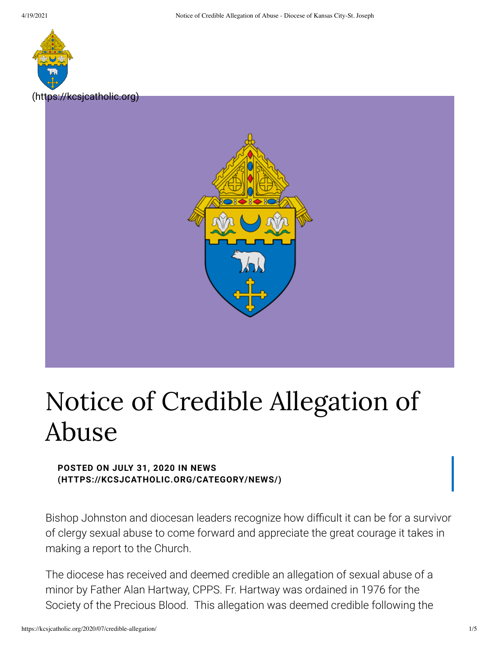

[\(https://kcsjcatholic.org\)](https://kcsjcatholic.org/)



## Notice of Credible Allegation of Abuse

## **POSTED ON JULY 31, 2020 IN NEWS [\(HTTPS://KCSJCATHOLIC.ORG/CATEGORY/NEWS/\)](https://kcsjcatholic.org/category/news/)**

Bishop Johnston and diocesan leaders recognize how difficult it can be for a survivor of clergy sexual abuse to come forward and appreciate the great courage it takes in making a report to the Church.

The diocese has received and deemed credible an allegation of sexual abuse of a minor by Father Alan Hartway, CPPS. Fr. Hartway was ordained in 1976 for the Society of the Precious Blood. This allegation was deemed credible following the